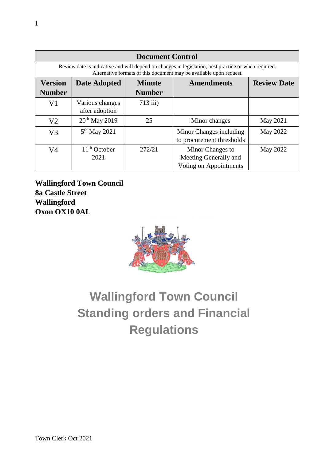| <b>Document Control</b>                                                                                                                                                     |                                   |                                |                                                                     |                    |
|-----------------------------------------------------------------------------------------------------------------------------------------------------------------------------|-----------------------------------|--------------------------------|---------------------------------------------------------------------|--------------------|
| Review date is indicative and will depend on changes in legislation, best practice or when required.<br>Alternative formats of this document may be available upon request. |                                   |                                |                                                                     |                    |
| <b>Version</b><br><b>Number</b>                                                                                                                                             | Date Adopted                      | <b>Minute</b><br><b>Number</b> | <b>Amendments</b>                                                   | <b>Review Date</b> |
| V1                                                                                                                                                                          | Various changes<br>after adoption | $713$ iii)                     |                                                                     |                    |
| V <sub>2</sub>                                                                                                                                                              | $20th$ May 2019                   | 25                             | Minor changes                                                       | May 2021           |
| V <sub>3</sub>                                                                                                                                                              | $5th$ May 2021                    |                                | Minor Changes including<br>to procurement thresholds                | May 2022           |
| V <sub>4</sub>                                                                                                                                                              | $11th$ October<br>2021            | 272/21                         | Minor Changes to<br>Meeting Generally and<br>Voting on Appointments | May 2022           |

**Wallingford Town Council 8a Castle Street Wallingford Oxon OX10 0AL**



# **Wallingford Town Council Standing orders and Financial Regulations**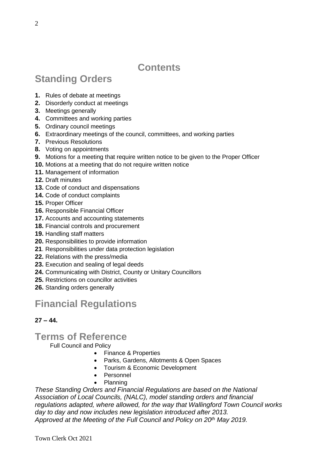# **Contents**

# **Standing Orders**

- **1.** Rules of debate at meetings
- **2.** Disorderly conduct at meetings
- **3.** Meetings generally
- **4.** Committees and working parties
- **5.** Ordinary council meetings
- **6.** Extraordinary meetings of the council, committees, and working parties
- **7.** Previous Resolutions
- **8.** Voting on appointments
- **9.** Motions for a meeting that require written notice to be given to the Proper Officer
- **10.** Motions at a meeting that do not require written notice
- **11.** Management of information
- **12.** Draft minutes
- **13.** Code of conduct and dispensations
- **14.** Code of conduct complaints
- **15.** Proper Officer
- **16.** Responsible Financial Officer
- **17.** Accounts and accounting statements
- **18.** Financial controls and procurement
- **19.** Handling staff matters
- **20.** Responsibilities to provide information
- **21**. Responsibilities under data protection legislation
- **22.** Relations with the press/media
- **23.** Execution and sealing of legal deeds
- **24.** Communicating with District, County or Unitary Councillors
- **25.** Restrictions on councillor activities
- **26.** Standing orders generally

# **Financial Regulations**

#### **27 – 44.**

#### **Terms of Reference**

Full Council and Policy

- Finance & Properties
- Parks, Gardens, Allotments & Open Spaces
- Tourism & Economic Development
- Personnel
- Planning

*These Standing Orders and Financial Regulations are based on the National Association of Local Councils, (NALC), model standing orders and financial regulations adapted, where allowed, for the way that Wallingford Town Council works day to day and now includes new legislation introduced after 2013. Approved at the Meeting of the Full Council and Policy on 20th May 2019.*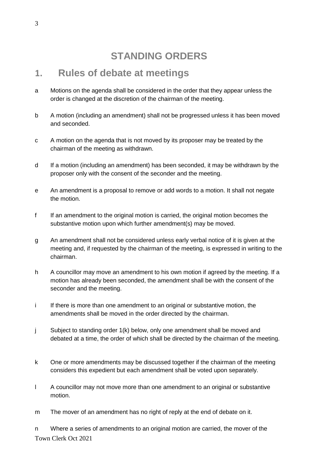# **STANDING ORDERS**

#### **1. Rules of debate at meetings**

- a Motions on the agenda shall be considered in the order that they appear unless the order is changed at the discretion of the chairman of the meeting.
- b A motion (including an amendment) shall not be progressed unless it has been moved and seconded.
- c A motion on the agenda that is not moved by its proposer may be treated by the chairman of the meeting as withdrawn.
- d If a motion (including an amendment) has been seconded, it may be withdrawn by the proposer only with the consent of the seconder and the meeting.
- e An amendment is a proposal to remove or add words to a motion. It shall not negate the motion.
- f If an amendment to the original motion is carried, the original motion becomes the substantive motion upon which further amendment(s) may be moved.
- g An amendment shall not be considered unless early verbal notice of it is given at the meeting and, if requested by the chairman of the meeting, is expressed in writing to the chairman.
- h A councillor may move an amendment to his own motion if agreed by the meeting. If a motion has already been seconded, the amendment shall be with the consent of the seconder and the meeting.
- i If there is more than one amendment to an original or substantive motion, the amendments shall be moved in the order directed by the chairman.
- j Subject to standing order 1(k) below, only one amendment shall be moved and debated at a time, the order of which shall be directed by the chairman of the meeting.
- k One or more amendments may be discussed together if the chairman of the meeting considers this expedient but each amendment shall be voted upon separately.
- l A councillor may not move more than one amendment to an original or substantive motion.
- m The mover of an amendment has no right of reply at the end of debate on it.

Town Clerk Oct 2021 n Where a series of amendments to an original motion are carried, the mover of the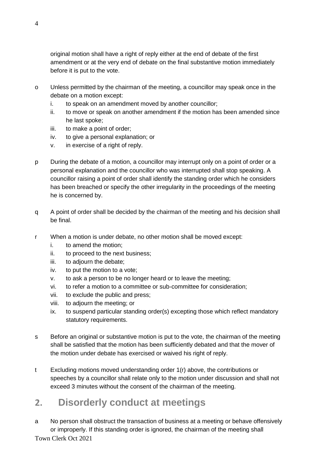original motion shall have a right of reply either at the end of debate of the first amendment or at the very end of debate on the final substantive motion immediately before it is put to the vote.

- o Unless permitted by the chairman of the meeting, a councillor may speak once in the debate on a motion except:
	- i. to speak on an amendment moved by another councillor;
	- ii. to move or speak on another amendment if the motion has been amended since he last spoke;
	- iii. to make a point of order;
	- iv. to give a personal explanation; or
	- v. in exercise of a right of reply.
- p During the debate of a motion, a councillor may interrupt only on a point of order or a personal explanation and the councillor who was interrupted shall stop speaking. A councillor raising a point of order shall identify the standing order which he considers has been breached or specify the other irregularity in the proceedings of the meeting he is concerned by.
- q A point of order shall be decided by the chairman of the meeting and his decision shall be final.
- r When a motion is under debate, no other motion shall be moved except:
	- i. to amend the motion;
	- ii. to proceed to the next business;
	- iii. to adjourn the debate;
	- iv. to put the motion to a vote;
	- v. to ask a person to be no longer heard or to leave the meeting;
	- vi. to refer a motion to a committee or sub-committee for consideration;
	- vii. to exclude the public and press;
	- viii. to adjourn the meeting; or
	- ix. to suspend particular standing order(s) excepting those which reflect mandatory statutory requirements.
- s Before an original or substantive motion is put to the vote, the chairman of the meeting shall be satisfied that the motion has been sufficiently debated and that the mover of the motion under debate has exercised or waived his right of reply.
- t Excluding motions moved understanding order 1(r) above, the contributions or speeches by a councillor shall relate only to the motion under discussion and shall not exceed 3 minutes without the consent of the chairman of the meeting.

## **2. Disorderly conduct at meetings**

Town Clerk Oct 2021 a No person shall obstruct the transaction of business at a meeting or behave offensively or improperly. If this standing order is ignored, the chairman of the meeting shall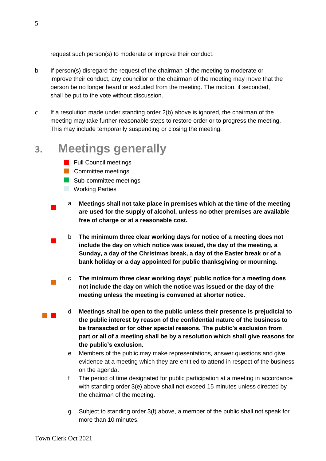request such person(s) to moderate or improve their conduct.

- b If person(s) disregard the request of the chairman of the meeting to moderate or improve their conduct, any councillor or the chairman of the meeting may move that the person be no longer heard or excluded from the meeting. The motion, if seconded, shall be put to the vote without discussion.
- c If a resolution made under standing order 2(b) above is ignored, the chairman of the meeting may take further reasonable steps to restore order or to progress the meeting. This may include temporarily suspending or closing the meeting.

# **3. Meetings generally**

- **Full Council meetings**
- **Committee meetings**
- Sub-committee meetings
- **Working Parties**

 $\overline{\phantom{a}}$ 

 $\mathcal{L}_{\mathcal{A}}$ 

- $\overline{\phantom{a}}$ a **Meetings shall not take place in premises which at the time of the meeting are used for the supply of alcohol, unless no other premises are available free of charge or at a reasonable cost.** 
	- b **The minimum three clear working days for notice of a meeting does not include the day on which notice was issued, the day of the meeting, a Sunday, a day of the Christmas break, a day of the Easter break or of a bank holiday or a day appointed for public thanksgiving or mourning.**
	- c **The minimum three clear working days' public notice for a meeting does not include the day on which the notice was issued or the day of the meeting unless the meeting is convened at shorter notice.**
- $\mathcal{L}^{\text{max}}_{\text{max}}$ d **Meetings shall be open to the public unless their presence is prejudicial to the public interest by reason of the confidential nature of the business to be transacted or for other special reasons. The public's exclusion from part or all of a meeting shall be by a resolution which shall give reasons for the public's exclusion.**
	- e Members of the public may make representations, answer questions and give evidence at a meeting which they are entitled to attend in respect of the business on the agenda.
	- f The period of time designated for public participation at a meeting in accordance with standing order 3(e) above shall not exceed 15 minutes unless directed by the chairman of the meeting.
	- g Subject to standing order 3(f) above, a member of the public shall not speak for more than 10 minutes.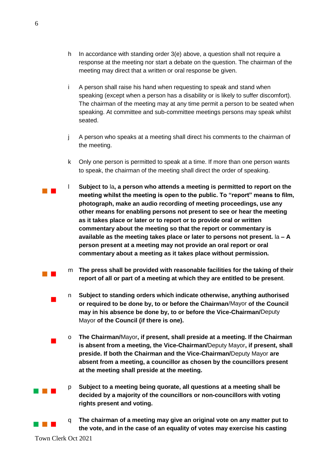- h In accordance with standing order 3(e) above, a question shall not require a response at the meeting nor start a debate on the question. The chairman of the meeting may direct that a written or oral response be given.
- i A person shall raise his hand when requesting to speak and stand when speaking (except when a person has a disability or is likely to suffer discomfort). The chairman of the meeting may at any time permit a person to be seated when speaking. At committee and sub-committee meetings persons may speak whilst seated.
- j A person who speaks at a meeting shall direct his comments to the chairman of the meeting.
- k Only one person is permitted to speak at a time. If more than one person wants to speak, the chairman of the meeting shall direct the order of speaking.
- l **Subject to** la**, a person who attends a meeting is permitted to report on the meeting whilst the meeting is open to the public. To "report" means to film, photograph, make an audio recording of meeting proceedings, use any other means for enabling persons not present to see or hear the meeting as it takes place or later or to report or to provide oral or written commentary about the meeting so that the report or commentary is available as the meeting takes place or later to persons not present.** la **– A person present at a meeting may not provide an oral report or oral commentary about a meeting as it takes place without permission.**
	- m **The press shall be provided with reasonable facilities for the taking of their report of all or part of a meeting at which they are entitled to be present**.
	- n **Subject to standing orders which indicate otherwise, anything authorised or required to be done by, to or before the Chairman**/Mayor **of the Council may in his absence be done by, to or before the Vice-Chairman/**Deputy Mayor **of the Council (if there is one).**
	- o **The Chairman/**Mayor**, if present, shall preside at a meeting. If the Chairman is absent from a meeting, the Vice-Chairman/**Deputy Mayor**, if present, shall preside. If both the Chairman and the Vice-Chairman/**Deputy Mayor **are absent from a meeting, a councillor as chosen by the councillors present at the meeting shall preside at the meeting.**
	- p **Subject to a meeting being quorate, all questions at a meeting shall be decided by a majority of the councillors or non-councillors with voting rights present and voting.**
	- q **The chairman of a meeting may give an original vote on any matter put to the vote, and in the case of an equality of votes may exercise his casting**

Town Clerk Oct 2021

 $\overline{\phantom{a}}$ 

 $\mathcal{L}_{\mathcal{A}}$ 

a na ka

a kacamatan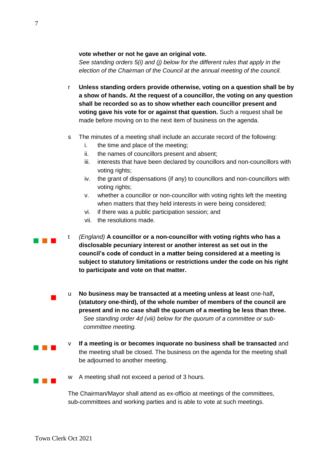#### **vote whether or not he gave an original vote.**

*See standing orders 5(i) and (j) below for the different rules that apply in the election of the Chairman of the Council at the annual meeting of the council.*

- r **Unless standing orders provide otherwise, voting on a question shall be by a show of hands. At the request of a councillor, the voting on any question shall be recorded so as to show whether each councillor present and voting gave his vote for or against that question.** Such a request shall be made before moving on to the next item of business on the agenda.
- s The minutes of a meeting shall include an accurate record of the following:
	- i. the time and place of the meeting;
	- ii. the names of councillors present and absent;
	- iii. interests that have been declared by councillors and non-councillors with voting rights;
	- iv. the grant of dispensations (if any) to councillors and non-councillors with voting rights;
	- v. whether a councillor or non-councillor with voting rights left the meeting when matters that they held interests in were being considered;
	- vi. if there was a public participation session; and
	- vii. the resolutions made.
- a kacamatan t *(England)* **A councillor or a non-councillor with voting rights who has a disclosable pecuniary interest or another interest as set out in the council's code of conduct in a matter being considered at a meeting is subject to statutory limitations or restrictions under the code on his right to participate and vote on that matter.**
	- u **No business may be transacted at a meeting unless at least** one-half**, (statutory one-third), of the whole number of members of the council are present and in no case shall the quorum of a meeting be less than three.** *See standing order 4d (viii) below for the quorum of a committee or subcommittee meeting.*
	- v **If a meeting is or becomes inquorate no business shall be transacted** and the meeting shall be closed. The business on the agenda for the meeting shall be adjourned to another meeting.
	- w A meeting shall not exceed a period of 3 hours.

The Chairman/Mayor shall attend as ex-officio at meetings of the committees, sub-committees and working parties and is able to vote at such meetings.

 $\overline{\phantom{a}}$ 

an an Indon

a provinci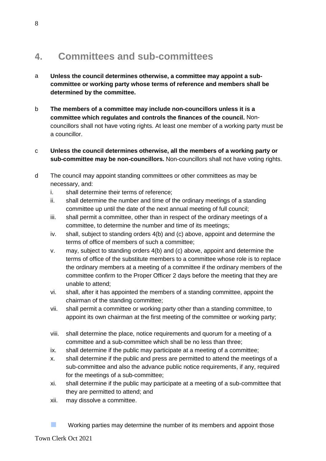# **4. Committees and sub-committees**

- a **Unless the council determines otherwise, a committee may appoint a subcommittee or working party whose terms of reference and members shall be determined by the committee.**
- b **The members of a committee may include non-councillors unless it is a committee which regulates and controls the finances of the council.** Noncouncillors shall not have voting rights. At least one member of a working party must be a councillor.
- c **Unless the council determines otherwise, all the members of a working party or sub-committee may be non-councillors.** Non-councillors shall not have voting rights.
- d The council may appoint standing committees or other committees as may be necessary, and:
	- i. shall determine their terms of reference;
	- ii. shall determine the number and time of the ordinary meetings of a standing committee up until the date of the next annual meeting of full council;
	- iii. shall permit a committee, other than in respect of the ordinary meetings of a committee, to determine the number and time of its meetings;
	- iv. shall, subject to standing orders 4(b) and (c) above, appoint and determine the terms of office of members of such a committee;
	- v. may, subject to standing orders 4(b) and (c) above, appoint and determine the terms of office of the substitute members to a committee whose role is to replace the ordinary members at a meeting of a committee if the ordinary members of the committee confirm to the Proper Officer 2 days before the meeting that they are unable to attend;
	- vi. shall, after it has appointed the members of a standing committee, appoint the chairman of the standing committee;
	- vii. shall permit a committee or working party other than a standing committee, to appoint its own chairman at the first meeting of the committee or working party;
	- viii. shall determine the place, notice requirements and quorum for a meeting of a committee and a sub-committee which shall be no less than three;
	- ix. shall determine if the public may participate at a meeting of a committee;
	- x. shall determine if the public and press are permitted to attend the meetings of a sub-committee and also the advance public notice requirements, if any, required for the meetings of a sub-committee;
	- xi. shall determine if the public may participate at a meeting of a sub-committee that they are permitted to attend; and
	- xii. may dissolve a committee.
	- **Working parties may determine the number of its members and appoint those**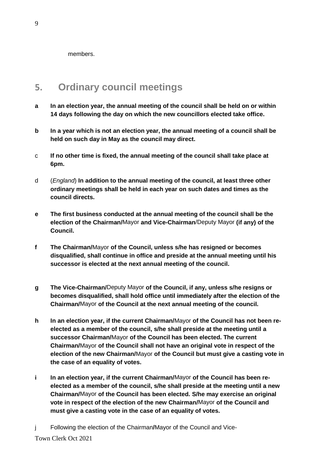members.

# **5. Ordinary council meetings**

- **a In an election year, the annual meeting of the council shall be held on or within 14 days following the day on which the new councillors elected take office.**
- **b In a year which is not an election year, the annual meeting of a council shall be held on such day in May as the council may direct.**
- c **If no other time is fixed, the annual meeting of the council shall take place at 6pm.**
- d (*England*) **In addition to the annual meeting of the council, at least three other ordinary meetings shall be held in each year on such dates and times as the council directs.**
- **e The first business conducted at the annual meeting of the council shall be the election of the Chairman/**Mayor **and Vice-Chairman**/Deputy Mayor **(if any) of the Council.**
- **f The Chairman/**Mayor **of the Council, unless s/he has resigned or becomes disqualified, shall continue in office and preside at the annual meeting until his successor is elected at the next annual meeting of the council.**
- **g The Vice-Chairman/**Deputy Mayor **of the Council, if any, unless s/he resigns or becomes disqualified, shall hold office until immediately after the election of the Chairman/**Mayor **of the Council at the next annual meeting of the council.**
- **h In an election year, if the current Chairman/**Mayor **of the Council has not been reelected as a member of the council, s/he shall preside at the meeting until a successor Chairman/**Mayor **of the Council has been elected. The current Chairman/**Mayor **of the Council shall not have an original vote in respect of the election of the new Chairman/**Mayor **of the Council but must give a casting vote in the case of an equality of votes.**
- **i In an election year, if the current Chairman/**Mayor **of the Council has been reelected as a member of the council, s/he shall preside at the meeting until a new Chairman/**Mayor **of the Council has been elected. S/he may exercise an original vote in respect of the election of the new Chairman/**Mayor **of the Council and must give a casting vote in the case of an equality of votes.**
- j Following the election of the Chairman**/**Mayor of the Council and Vice-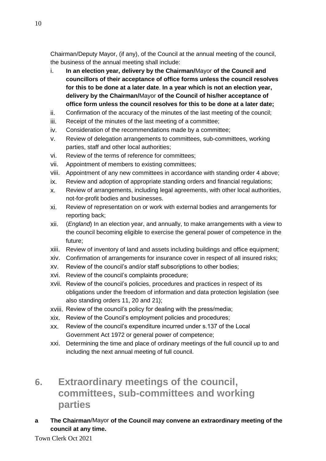Chairman/Deputy Mayor, (if any), of the Council at the annual meeting of the council, the business of the annual meeting shall include:

- i. **In an election year, delivery by the Chairman/**Mayor **of the Council and councillors of their acceptance of office forms unless the council resolves for this to be done at a later date**. **In a year which is not an election year, delivery by the Chairman/**Mayor **of the Council of his/her acceptance of office form unless the council resolves for this to be done at a later date;**
- ii. Confirmation of the accuracy of the minutes of the last meeting of the council;
- iii. Receipt of the minutes of the last meeting of a committee;
- iv. Consideration of the recommendations made by a committee;
- v. Review of delegation arrangements to committees, sub-committees, working parties, staff and other local authorities;
- vi. Review of the terms of reference for committees;
- vii. Appointment of members to existing committees;
- viii. Appointment of any new committees in accordance with standing order 4 above;
- ix. Review and adoption of appropriate standing orders and financial regulations;
- x. Review of arrangements, including legal agreements, with other local authorities, not-for-profit bodies and businesses.
- xi. Review of representation on or work with external bodies and arrangements for reporting back;
- xii. (*England*) In an election year, and annually, to make arrangements with a view to the council becoming eligible to exercise the general power of competence in the future;
- xiii. Review of inventory of land and assets including buildings and office equipment;
- xiv. Confirmation of arrangements for insurance cover in respect of all insured risks;
- xv. Review of the council's and/or staff subscriptions to other bodies;
- xvi. Review of the council's complaints procedure;
- xvii. Review of the council's policies, procedures and practices in respect of its obligations under the freedom of information and data protection legislation (see also standing orders 11, 20 and 21);
- xviii. Review of the council's policy for dealing with the press/media;
- xix. Review of the Council's employment policies and procedures;
- xx. Review of the council's expenditure incurred under s.137 of the Local Government Act 1972 or general power of competence;
- xxi. Determining the time and place of ordinary meetings of the full council up to and including the next annual meeting of full council.
- **6. Extraordinary meetings of the council, committees, sub-committees and working parties**
- **a The Chairman**/Mayor **of the Council may convene an extraordinary meeting of the council at any time.**

Town Clerk Oct 2021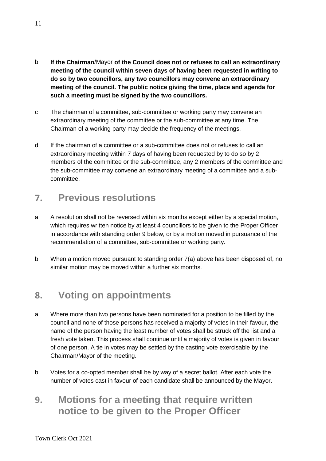- b **If the Chairman**/Mayor **of the Council does not or refuses to call an extraordinary meeting of the council within seven days of having been requested in writing to do so by two councillors, any two councillors may convene an extraordinary meeting of the council. The public notice giving the time, place and agenda for such a meeting must be signed by the two councillors.**
- c The chairman of a committee, sub-committee or working party may convene an extraordinary meeting of the committee or the sub-committee at any time. The Chairman of a working party may decide the frequency of the meetings.
- d If the chairman of a committee or a sub-committee does not or refuses to call an extraordinary meeting within 7 days of having been requested by to do so by 2 members of the committee or the sub-committee, any 2 members of the committee and the sub-committee may convene an extraordinary meeting of a committee and a subcommittee.

## **7. Previous resolutions**

- a A resolution shall not be reversed within six months except either by a special motion, which requires written notice by at least 4 councillors to be given to the Proper Officer in accordance with standing order 9 below, or by a motion moved in pursuance of the recommendation of a committee, sub-committee or working party.
- b When a motion moved pursuant to standing order 7(a) above has been disposed of, no similar motion may be moved within a further six months.

# **8. Voting on appointments**

- a Where more than two persons have been nominated for a position to be filled by the council and none of those persons has received a majority of votes in their favour, the name of the person having the least number of votes shall be struck off the list and a fresh vote taken. This process shall continue until a majority of votes is given in favour of one person. A tie in votes may be settled by the casting vote exercisable by the Chairman/Mayor of the meeting.
- b Votes for a co-opted member shall be by way of a secret ballot. After each vote the number of votes cast in favour of each candidate shall be announced by the Mayor.
- **9. Motions for a meeting that require written notice to be given to the Proper Officer**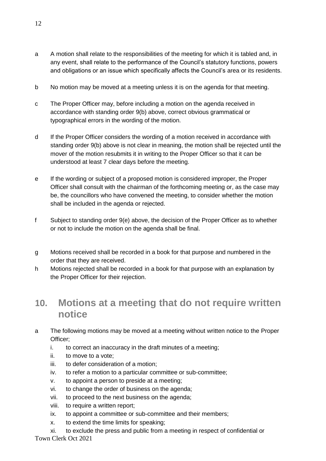- a A motion shall relate to the responsibilities of the meeting for which it is tabled and, in any event, shall relate to the performance of the Council's statutory functions, powers and obligations or an issue which specifically affects the Council's area or its residents.
- b No motion may be moved at a meeting unless it is on the agenda for that meeting.
- c The Proper Officer may, before including a motion on the agenda received in accordance with standing order 9(b) above, correct obvious grammatical or typographical errors in the wording of the motion.
- d If the Proper Officer considers the wording of a motion received in accordance with standing order 9(b) above is not clear in meaning, the motion shall be rejected until the mover of the motion resubmits it in writing to the Proper Officer so that it can be understood at least 7 clear days before the meeting.
- e If the wording or subject of a proposed motion is considered improper, the Proper Officer shall consult with the chairman of the forthcoming meeting or, as the case may be, the councillors who have convened the meeting, to consider whether the motion shall be included in the agenda or rejected.
- f Subject to standing order 9(e) above, the decision of the Proper Officer as to whether or not to include the motion on the agenda shall be final.
- g Motions received shall be recorded in a book for that purpose and numbered in the order that they are received.
- h Motions rejected shall be recorded in a book for that purpose with an explanation by the Proper Officer for their rejection.

#### **10. Motions at a meeting that do not require written notice**

- a The following motions may be moved at a meeting without written notice to the Proper Officer;
	- i. to correct an inaccuracy in the draft minutes of a meeting;
	- ii. to move to a vote;
	- iii. to defer consideration of a motion;
	- iv. to refer a motion to a particular committee or sub-committee;
	- v. to appoint a person to preside at a meeting;
	- vi. to change the order of business on the agenda;
	- vii. to proceed to the next business on the agenda;
	- viii. to require a written report;
	- ix. to appoint a committee or sub-committee and their members;
	- x. to extend the time limits for speaking;
- Town Clerk Oct 2021 xi. to exclude the press and public from a meeting in respect of confidential or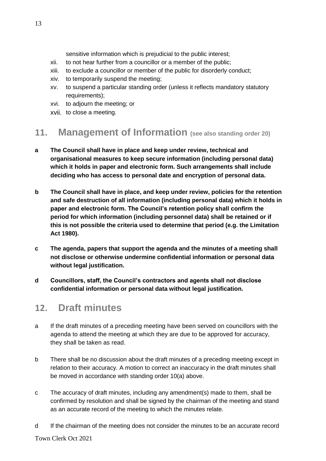sensitive information which is prejudicial to the public interest;

- xii. to not hear further from a councillor or a member of the public;
- xiii. to exclude a councillor or member of the public for disorderly conduct;
- xiv. to temporarily suspend the meeting;
- xv. to suspend a particular standing order (unless it reflects mandatory statutory requirements);
- xvi. to adjourn the meeting; or
- xvii. to close a meeting.

#### **11. Management of Information (see also standing order 20)**

- **a The Council shall have in place and keep under review, technical and organisational measures to keep secure information (including personal data) which it holds in paper and electronic form. Such arrangements shall include deciding who has access to personal date and encryption of personal data.**
- **b The Council shall have in place, and keep under review, policies for the retention and safe destruction of all information (including personal data) which it holds in paper and electronic form. The Council's retention policy shall confirm the period for which information (including personnel data) shall be retained or if this is not possible the criteria used to determine that period (e.g. the Limitation Act 1980).**
- **c The agenda, papers that support the agenda and the minutes of a meeting shall not disclose or otherwise undermine confidential information or personal data without legal justification.**
- **d Councillors, staff, the Council's contractors and agents shall not disclose confidential information or personal data without legal justification.**

## **12. Draft minutes**

- a If the draft minutes of a preceding meeting have been served on councillors with the agenda to attend the meeting at which they are due to be approved for accuracy, they shall be taken as read.
- b There shall be no discussion about the draft minutes of a preceding meeting except in relation to their accuracy. A motion to correct an inaccuracy in the draft minutes shall be moved in accordance with standing order 10(a) above.
- c The accuracy of draft minutes, including any amendment(s) made to them, shall be confirmed by resolution and shall be signed by the chairman of the meeting and stand as an accurate record of the meeting to which the minutes relate.
- d If the chairman of the meeting does not consider the minutes to be an accurate record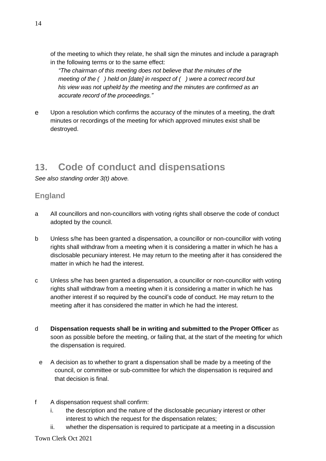of the meeting to which they relate, he shall sign the minutes and include a paragraph in the following terms or to the same effect:

*"The chairman of this meeting does not believe that the minutes of the meeting of the ( ) held on [date] in respect of ( ) were a correct record but his view was not upheld by the meeting and the minutes are confirmed as an accurate record of the proceedings."*

e Upon a resolution which confirms the accuracy of the minutes of a meeting, the draft minutes or recordings of the meeting for which approved minutes exist shall be destroyed.

# **13. Code of conduct and dispensations**

*See also standing order 3(t) above.* 

#### **England**

- a All councillors and non-councillors with voting rights shall observe the code of conduct adopted by the council.
- b Unless s/he has been granted a dispensation, a councillor or non-councillor with voting rights shall withdraw from a meeting when it is considering a matter in which he has a disclosable pecuniary interest. He may return to the meeting after it has considered the matter in which he had the interest.
- c Unless s/he has been granted a dispensation, a councillor or non-councillor with voting rights shall withdraw from a meeting when it is considering a matter in which he has another interest if so required by the council's code of conduct. He may return to the meeting after it has considered the matter in which he had the interest.
- d **Dispensation requests shall be in writing and submitted to the Proper Officer** as soon as possible before the meeting, or failing that, at the start of the meeting for which the dispensation is required.
	- e A decision as to whether to grant a dispensation shall be made by a meeting of the council, or committee or sub-committee for which the dispensation is required and that decision is final.
- f A dispensation request shall confirm:
	- i. the description and the nature of the disclosable pecuniary interest or other interest to which the request for the dispensation relates;
	- ii. whether the dispensation is required to participate at a meeting in a discussion

Town Clerk Oct 2021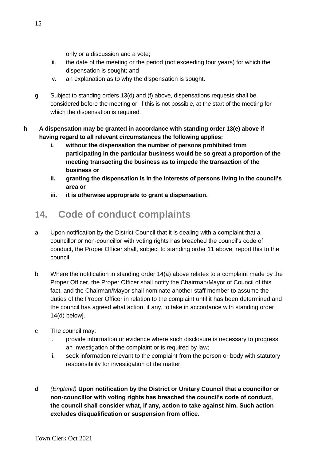only or a discussion and a vote;

- iii. the date of the meeting or the period (not exceeding four years) for which the dispensation is sought; and
- iv. an explanation as to why the dispensation is sought.
- g Subject to standing orders 13(d) and (f) above, dispensations requests shall be considered before the meeting or, if this is not possible, at the start of the meeting for which the dispensation is required.
- **h A dispensation may be granted in accordance with standing order 13(e) above if having regard to all relevant circumstances the following applies:**
	- **i. without the dispensation the number of persons prohibited from participating in the particular business would be so great a proportion of the meeting transacting the business as to impede the transaction of the business or**
	- **ii. granting the dispensation is in the interests of persons living in the council's area or**
	- **iii. it is otherwise appropriate to grant a dispensation.**

# **14. Code of conduct complaints**

- a Upon notification by the District Council that it is dealing with a complaint that a councillor or non-councillor with voting rights has breached the council's code of conduct, the Proper Officer shall, subject to standing order 11 above, report this to the council.
- b Where the notification in standing order 14(a) above relates to a complaint made by the Proper Officer, the Proper Officer shall notify the Chairman/Mayor of Council of this fact, and the Chairman/Mayor shall nominate another staff member to assume the duties of the Proper Officer in relation to the complaint until it has been determined and the council has agreed what action, if any, to take in accordance with standing order 14(d) below].
- c The council may:
	- i. provide information or evidence where such disclosure is necessary to progress an investigation of the complaint or is required by law;
	- ii. seek information relevant to the complaint from the person or body with statutory responsibility for investigation of the matter;
- **d** *(England)* **Upon notification by the District or Unitary Council that a councillor or non-councillor with voting rights has breached the council's code of conduct, the council shall consider what, if any, action to take against him. Such action excludes disqualification or suspension from office.**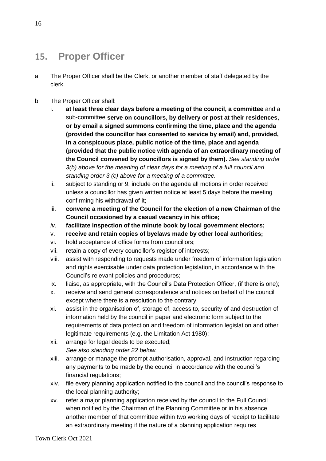## **15. Proper Officer**

- a The Proper Officer shall be the Clerk, or another member of staff delegated by the clerk.
- b The Proper Officer shall:
	- i. **at least three clear days before a meeting of the council, a committee** and a sub-committee **serve on councillors, by delivery or post at their residences, or by email a signed summons confirming the time, place and the agenda (provided the councillor has consented to service by email) and, provided, in a conspicuous place, public notice of the time, place and agenda (provided that the public notice with agenda of an extraordinary meeting of the Council convened by councillors is signed by them).** *See standing order 3(b) above for the meaning of clear days for a meeting of a full council and standing order 3 (c) above for a meeting of a committee.*
	- ii. subject to standing or 9, include on the agenda all motions in order received unless a councillor has given written notice at least 5 days before the meeting confirming his withdrawal of it;
	- iii. **convene a meeting of the Council for the election of a new Chairman of the Council occasioned by a casual vacancy in his office;**
	- *iv.* **facilitate inspection of the minute book by local government electors;**
	- v. **receive and retain copies of byelaws made by other local authorities;**
	- vi. hold acceptance of office forms from councillors;
	- vii. retain a copy of every councillor's register of interests;
	- viii. assist with responding to requests made under freedom of information legislation and rights exercisable under data protection legislation, in accordance with the Council's relevant policies and procedures;
	- ix. liaise, as appropriate, with the Council's Data Protection Officer, (if there is one);
	- x. receive and send general correspondence and notices on behalf of the council except where there is a resolution to the contrary;
	- xi. assist in the organisation of, storage of, access to, security of and destruction of information held by the council in paper and electronic form subject to the requirements of data protection and freedom of information legislation and other legitimate requirements (e.g. the Limitation Act 1980);
	- xii. arrange for legal deeds to be executed; *See also standing order 22 below.*
	- xiii. arrange or manage the prompt authorisation, approval, and instruction regarding any payments to be made by the council in accordance with the council's financial regulations;
	- xiv. file every planning application notified to the council and the council's response to the local planning authority;
	- xv. refer a major planning application received by the council to the Full Council when notified by the Chairman of the Planning Committee or in his absence another member of that committee within two working days of receipt to facilitate an extraordinary meeting if the nature of a planning application requires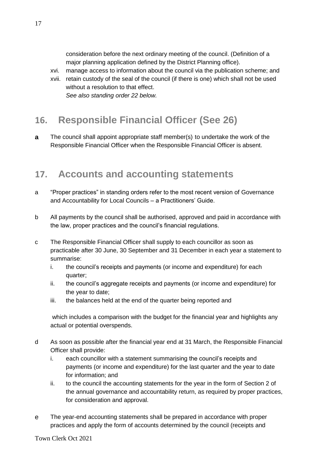consideration before the next ordinary meeting of the council. (Definition of a major planning application defined by the District Planning office).

- xvi. manage access to information about the council via the publication scheme; and
- xvii. retain custody of the seal of the council (if there is one) which shall not be used without a resolution to that effect. *See also standing order 22 below.*

# **16. Responsible Financial Officer (See 26)**

**a** The council shall appoint appropriate staff member(s) to undertake the work of the Responsible Financial Officer when the Responsible Financial Officer is absent.

#### **17. Accounts and accounting statements**

- a "Proper practices" in standing orders refer to the most recent version of Governance and Accountability for Local Councils – a Practitioners' Guide.
- b All payments by the council shall be authorised, approved and paid in accordance with the law, proper practices and the council's financial regulations.
- c The Responsible Financial Officer shall supply to each councillor as soon as practicable after 30 June, 30 September and 31 December in each year a statement to summarise:
	- i. the council's receipts and payments (or income and expenditure) for each quarter;
	- ii. the council's aggregate receipts and payments (or income and expenditure) for the year to date;
	- iii. the balances held at the end of the quarter being reported and

which includes a comparison with the budget for the financial year and highlights any actual or potential overspends.

- d As soon as possible after the financial year end at 31 March, the Responsible Financial Officer shall provide:
	- i. each councillor with a statement summarising the council's receipts and payments (or income and expenditure) for the last quarter and the year to date for information; and
	- ii. to the council the accounting statements for the year in the form of Section 2 of the annual governance and accountability return, as required by proper practices, for consideration and approval.
- e The year-end accounting statements shall be prepared in accordance with proper practices and apply the form of accounts determined by the council (receipts and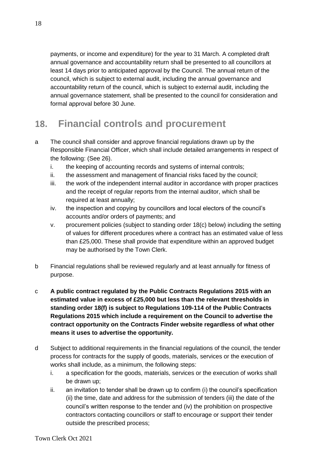payments, or income and expenditure) for the year to 31 March. A completed draft annual governance and accountability return shall be presented to all councillors at least 14 days prior to anticipated approval by the Council. The annual return of the council, which is subject to external audit, including the annual governance and accountability return of the council, which is subject to external audit, including the annual governance statement, shall be presented to the council for consideration and formal approval before 30 June.

# **18. Financial controls and procurement**

- a The council shall consider and approve financial regulations drawn up by the Responsible Financial Officer, which shall include detailed arrangements in respect of the following: (See 26).
	- i. the keeping of accounting records and systems of internal controls;
	- ii. the assessment and management of financial risks faced by the council;
	- iii. the work of the independent internal auditor in accordance with proper practices and the receipt of regular reports from the internal auditor, which shall be required at least annually;
	- iv. the inspection and copying by councillors and local electors of the council's accounts and/or orders of payments; and
	- v. procurement policies (subject to standing order 18(c) below) including the setting of values for different procedures where a contract has an estimated value of less than £25,000. These shall provide that expenditure within an approved budget may be authorised by the Town Clerk.
- b Financial regulations shall be reviewed regularly and at least annually for fitness of purpose.
- c **A public contract regulated by the Public Contracts Regulations 2015 with an estimated value in excess of £25,000 but less than the relevant thresholds in standing order 18(f) is subject to Regulations 109-114 of the Public Contracts Regulations 2015 which include a requirement on the Council to advertise the contract opportunity on the Contracts Finder website regardless of what other means it uses to advertise the opportunity.**
- d Subject to additional requirements in the financial regulations of the council, the tender process for contracts for the supply of goods, materials, services or the execution of works shall include, as a minimum, the following steps:
	- i. a specification for the goods, materials, services or the execution of works shall be drawn up;
	- ii. an invitation to tender shall be drawn up to confirm (i) the council's specification (ii) the time, date and address for the submission of tenders (iii) the date of the council's written response to the tender and (iv) the prohibition on prospective contractors contacting councillors or staff to encourage or support their tender outside the prescribed process;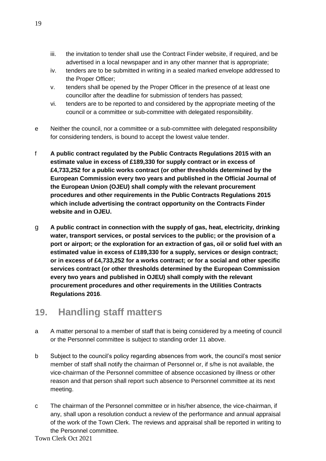- iii. the invitation to tender shall use the Contract Finder website, if required, and be advertised in a local newspaper and in any other manner that is appropriate;
- iv. tenders are to be submitted in writing in a sealed marked envelope addressed to the Proper Officer;
- v. tenders shall be opened by the Proper Officer in the presence of at least one councillor after the deadline for submission of tenders has passed;
- vi. tenders are to be reported to and considered by the appropriate meeting of the council or a committee or sub-committee with delegated responsibility.
- e Neither the council, nor a committee or a sub-committee with delegated responsibility for considering tenders, is bound to accept the lowest value tender.
- f **A public contract regulated by the Public Contracts Regulations 2015 with an estimate value in excess of £189,330 for supply contract or in excess of £4,733,252 for a public works contract (or other thresholds determined by the European Commission every two years and published in the Official Journal of the European Union (OJEU) shall comply with the relevant procurement procedures and other requirements in the Public Contracts Regulations 2015 which include advertising the contract opportunity on the Contracts Finder website and in OJEU.**
- g **A public contract in connection with the supply of gas, heat, electricity, drinking water, transport services, or postal services to the public; or the provision of a port or airport; or the exploration for an extraction of gas, oil or solid fuel with an estimated value in excess of £189,330 for a supply, services or design contract; or in excess of £4,733,252 for a works contract; or for a social and other specific services contract (or other thresholds determined by the European Commission every two years and published in OJEU) shall comply with the relevant procurement procedures and other requirements in the Utilities Contracts Regulations 2016**.

# **19. Handling staff matters**

- a A matter personal to a member of staff that is being considered by a meeting of council or the Personnel committee is subject to standing order 11 above.
- b Subject to the council's policy regarding absences from work, the council's most senior member of staff shall notify the chairman of Personnel or, if s/he is not available, the vice-chairman of the Personnel committee of absence occasioned by illness or other reason and that person shall report such absence to Personnel committee at its next meeting.
- Town Clerk Oct 2021 c The chairman of the Personnel committee or in his/her absence, the vice-chairman, if any, shall upon a resolution conduct a review of the performance and annual appraisal of the work of the Town Clerk. The reviews and appraisal shall be reported in writing to the Personnel committee.

19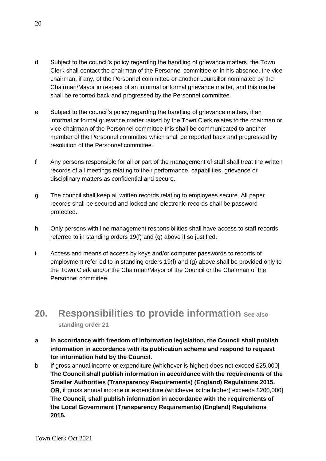- d Subject to the council's policy regarding the handling of grievance matters, the Town Clerk shall contact the chairman of the Personnel committee or in his absence, the vicechairman, if any, of the Personnel committee or another councillor nominated by the Chairman/Mayor in respect of an informal or formal grievance matter, and this matter shall be reported back and progressed by the Personnel committee.
- e Subject to the council's policy regarding the handling of grievance matters, if an informal or formal grievance matter raised by the Town Clerk relates to the chairman or vice-chairman of the Personnel committee this shall be communicated to another member of the Personnel committee which shall be reported back and progressed by resolution of the Personnel committee.
- f Any persons responsible for all or part of the management of staff shall treat the written records of all meetings relating to their performance, capabilities, grievance or disciplinary matters as confidential and secure.
- g The council shall keep all written records relating to employees secure. All paper records shall be secured and locked and electronic records shall be password protected.
- h Only persons with line management responsibilities shall have access to staff records referred to in standing orders 19(f) and (g) above if so justified.
- i Access and means of access by keys and/or computer passwords to records of employment referred to in standing orders 19(f) and (g) above shall be provided only to the Town Clerk and/or the Chairman/Mayor of the Council or the Chairman of the Personnel committee.

#### **20. Responsibilities to provide information See also standing order 21**

- **a In accordance with freedom of information legislation, the Council shall publish information in accordance with its publication scheme and respond to request for information held by the Council.**
- b If gross annual income or expenditure (whichever is higher) does not exceed £25,000] **The Council shall publish information in accordance with the requirements of the Smaller Authorities (Transparency Requirements) (England) Regulations 2015. OR,** if gross annual income or expenditure (whichever is the higher) exceeds £200,000] **The Council, shall publish information in accordance with the requirements of the Local Government (Transparency Requirements) (England) Regulations 2015.**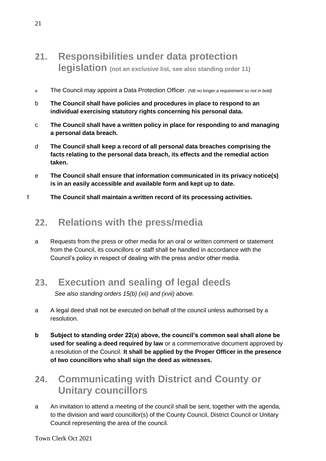## **21. Responsibilities under data protection legislation (not an exclusive list, see also standing order 11)**

- *a* The Council may appoint a Data Protection Officer. *(NB no longer a requirement so not in bold)*
- b **The Council shall have policies and procedures in place to respond to an individual exercising statutory rights concerning his personal data.**
- c **The Council shall have a written policy in place for responding to and managing a personal data breach.**
- d **The Council shall keep a record of all personal data breaches comprising the facts relating to the personal data breach, its effects and the remedial action taken.**
- e **The Council shall ensure that information communicated in its privacy notice(s) is in an easily accessible and available form and kept up to date.**
- f **The Council shall maintain a written record of its processing activities.**

#### **22. Relations with the press/media**

a Requests from the press or other media for an oral or written comment or statement from the Council, its councillors or staff shall be handled in accordance with the Council's policy in respect of dealing with the press and/or other media.

# **23. Execution and sealing of legal deeds**

*See also standing orders 15(b) (xii) and (xvii) above.*

- a A legal deed shall not be executed on behalf of the council unless authorised by a resolution.
- **b Subject to standing order 22(a) above, the council's common seal shall alone be used for sealing a deed required by law** or a commemorative document approved by a resolution of the Council. **It shall be applied by the Proper Officer in the presence of two councillors who shall sign the deed as witnesses.**

# **24. Communicating with District and County or Unitary councillors**

a An invitation to attend a meeting of the council shall be sent, together with the agenda, to the division and ward councillor(s) of the County Council, District Council or Unitary Council representing the area of the council.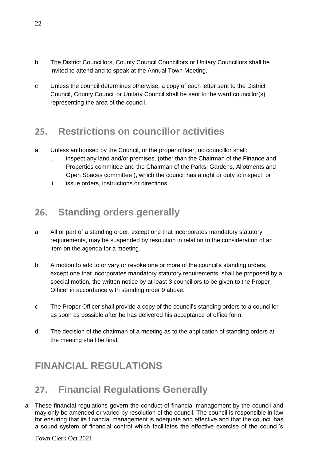- b The District Councillors, County Council Councillors or Unitary Councillors shall be invited to attend and to speak at the Annual Town Meeting.
- c Unless the council determines otherwise, a copy of each letter sent to the District Council, County Council or Unitary Council shall be sent to the ward councillor(s) representing the area of the council.

# **25. Restrictions on councillor activities**

- a. Unless authorised by the Council, or the proper officer, no councillor shall:
	- i. inspect any land and/or premises, (other than the Chairman of the Finance and Properties committee and the Chairman of the Parks, Gardens, Allotments and Open Spaces committee ), which the council has a right or duty to inspect; or
	- ii. issue orders, instructions or directions.

# **26. Standing orders generally**

- a All or part of a standing order, except one that incorporates mandatory statutory requirements, may be suspended by resolution in relation to the consideration of an item on the agenda for a meeting.
- b A motion to add to or vary or revoke one or more of the council's standing orders, except one that incorporates mandatory statutory requirements, shall be proposed by a special motion, the written notice by at least 3 councillors to be given to the Proper Officer in accordance with standing order 9 above.
- c The Proper Officer shall provide a copy of the council's standing orders to a councillor as soon as possible after he has delivered his acceptance of office form.
- d The decision of the chairman of a meeting as to the application of standing orders at the meeting shall be final.

# **FINANCIAL REGULATIONS**

# **27. Financial Regulations Generally**

a These financial regulations govern the conduct of financial management by the council and may only be amended or varied by resolution of the council. The council is responsible in law for ensuring that its financial management is adequate and effective and that the council has a sound system of financial control which facilitates the effective exercise of the council's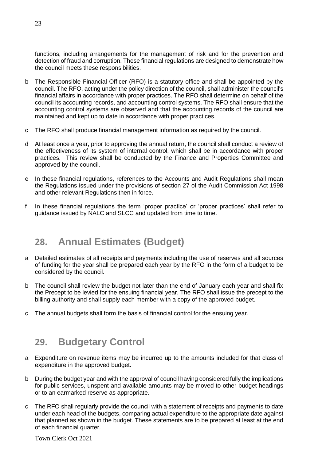functions, including arrangements for the management of risk and for the prevention and detection of fraud and corruption. These financial regulations are designed to demonstrate how the council meets these responsibilities.

- b The Responsible Financial Officer (RFO) is a statutory office and shall be appointed by the council. The RFO, acting under the policy direction of the council, shall administer the council's financial affairs in accordance with proper practices. The RFO shall determine on behalf of the council its accounting records, and accounting control systems. The RFO shall ensure that the accounting control systems are observed and that the accounting records of the council are maintained and kept up to date in accordance with proper practices.
- c The RFO shall produce financial management information as required by the council.
- d At least once a year, prior to approving the annual return, the council shall conduct a review of the effectiveness of its system of internal control, which shall be in accordance with proper practices. This review shall be conducted by the Finance and Properties Committee and approved by the council.
- e In these financial regulations, references to the Accounts and Audit Regulations shall mean the Regulations issued under the provisions of section 27 of the Audit Commission Act 1998 and other relevant Regulations then in force.
- f In these financial regulations the term 'proper practice' or 'proper practices' shall refer to guidance issued by NALC and SLCC and updated from time to time.

## **28. Annual Estimates (Budget)**

- a Detailed estimates of all receipts and payments including the use of reserves and all sources of funding for the year shall be prepared each year by the RFO in the form of a budget to be considered by the council.
- b The council shall review the budget not later than the end of January each year and shall fix the Precept to be levied for the ensuing financial year. The RFO shall issue the precept to the billing authority and shall supply each member with a copy of the approved budget.
- c The annual budgets shall form the basis of financial control for the ensuing year.

#### **29. Budgetary Control**

- a Expenditure on revenue items may be incurred up to the amounts included for that class of expenditure in the approved budget.
- b During the budget year and with the approval of council having considered fully the implications for public services, unspent and available amounts may be moved to other budget headings or to an earmarked reserve as appropriate.
- c The RFO shall regularly provide the council with a statement of receipts and payments to date under each head of the budgets, comparing actual expenditure to the appropriate date against that planned as shown in the budget. These statements are to be prepared at least at the end of each financial quarter.

Town Clerk Oct 2021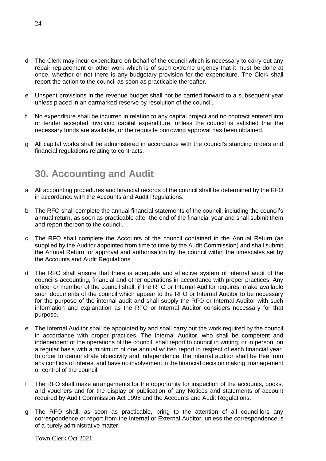- d The Clerk may incur expenditure on behalf of the council which is necessary to carry out any repair replacement or other work which is of such extreme urgency that it must be done at once, whether or not there is any budgetary provision for the expenditure. The Clerk shall report the action to the council as soon as practicable thereafter.
- e Unspent provisions in the revenue budget shall not be carried forward to a subsequent year unless placed in an earmarked reserve by resolution of the council.
- f No expenditure shall be incurred in relation to any capital project and no contract entered into or tender accepted involving capital expenditure, unless the council is satisfied that the necessary funds are available, or the requisite borrowing approval has been obtained.
- g All capital works shall be administered in accordance with the council's standing orders and financial regulations relating to contracts.

# **30. Accounting and Audit**

- a All accounting procedures and financial records of the council shall be determined by the RFO in accordance with the Accounts and Audit Regulations.
- b The RFO shall complete the annual financial statements of the council, including the council's annual return, as soon as practicable after the end of the financial year and shall submit them and report thereon to the council.
- c The RFO shall complete the Accounts of the council contained in the Annual Return (as supplied by the Auditor appointed from time to time by the Audit Commission) and shall submit the Annual Return for approval and authorisation by the council within the timescales set by the Accounts and Audit Regulations.
- d The RFO shall ensure that there is adequate and effective system of internal audit of the council's accounting, financial and other operations in accordance with proper practices. Any officer or member of the council shall, if the RFO or Internal Auditor requires, make available such documents of the council which appear to the RFO or Internal Auditor to be necessary for the purpose of the internal audit and shall supply the RFO or Internal Auditor with such information and explanation as the RFO or Internal Auditor considers necessary for that purpose.
- e The Internal Auditor shall be appointed by and shall carry out the work required by the council in accordance with proper practices. The Internal Auditor, who shall be competent and independent of the operations of the council, shall report to council in writing, or in person, on a regular basis with a minimum of one annual written report in respect of each financial year. In order to demonstrate objectivity and independence, the internal auditor shall be free from any conflicts of interest and have no involvement in the financial decision making, management or control of the council.
- f The RFO shall make arrangements for the opportunity for inspection of the accounts, books, and vouchers and for the display or publication of any Notices and statements of account required by Audit Commission Act 1998 and the Accounts and Audit Regulations.
- g The RFO shall, as soon as practicable, bring to the attention of all councillors any correspondence or report from the Internal or External Auditor, unless the correspondence is of a purely administrative matter.

Town Clerk Oct 2021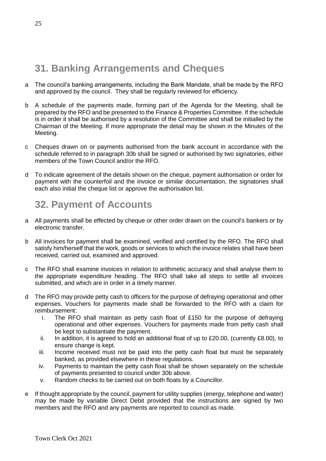# **31. Banking Arrangements and Cheques**

- a The council's banking arrangements, including the Bank Mandate, shall be made by the RFO and approved by the council. They shall be regularly reviewed for efficiency.
- b A schedule of the payments made, forming part of the Agenda for the Meeting, shall be prepared by the RFO and be presented to the Finance & Properties Committee. If the schedule is in order it shall be authorised by a resolution of the Committee and shall be initialled by the Chairman of the Meeting. If more appropriate the detail may be shown in the Minutes of the Meeting.
- c Cheques drawn on or payments authorised from the bank account in accordance with the schedule referred to in paragraph 30b shall be signed or authorised by two signatories, either members of the Town Council and/or the RFO.
- d To indicate agreement of the details shown on the cheque, payment authorisation or order for payment with the counterfoil and the invoice or similar documentation, the signatories shall each also initial the cheque list or approve the authorisation list.

# **32. Payment of Accounts**

- a All payments shall be effected by cheque or other order drawn on the council's bankers or by electronic transfer.
- b All invoices for payment shall be examined, verified and certified by the RFO. The RFO shall satisfy him/herself that the work, goods or services to which the invoice relates shall have been received, carried out, examined and approved.
- c The RFO shall examine invoices in relation to arithmetic accuracy and shall analyse them to the appropriate expenditure heading. The RFO shall take all steps to settle all invoices submitted, and which are in order in a timely manner.
- d The RFO may provide petty cash to officers for the purpose of defraying operational and other expenses. Vouchers for payments made shall be forwarded to the RFO with a claim for reimbursement:
	- i. The RFO shall maintain as petty cash float of £150 for the purpose of defraying operational and other expenses. Vouchers for payments made from petty cash shall be kept to substantiate the payment.
	- ii. In addition, it is agreed to hold an additional float of up to £20.00, (currently £8.00), to ensure change is kept.
	- iii. Income received must not be paid into the petty cash float but must be separately banked, as provided elsewhere in these regulations.
	- iv. Payments to maintain the petty cash float shall be shown separately on the schedule of payments presented to council under 30b above.
	- v. Random checks to be carried out on both floats by a Councillor.
- e If thought appropriate by the council, payment for utility supplies (energy, telephone and water) may be made by variable Direct Debit provided that the instructions are signed by two members and the RFO and any payments are reported to council as made.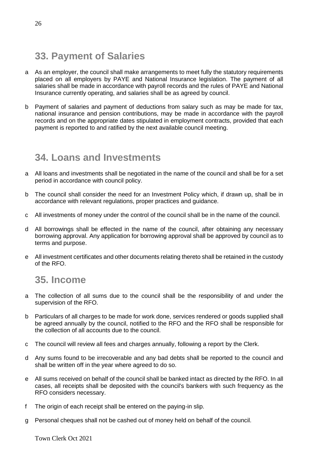## **33. Payment of Salaries**

- a As an employer, the council shall make arrangements to meet fully the statutory requirements placed on all employers by PAYE and National Insurance legislation. The payment of all salaries shall be made in accordance with payroll records and the rules of PAYE and National Insurance currently operating, and salaries shall be as agreed by council.
- b Payment of salaries and payment of deductions from salary such as may be made for tax, national insurance and pension contributions, may be made in accordance with the payroll records and on the appropriate dates stipulated in employment contracts, provided that each payment is reported to and ratified by the next available council meeting.

#### **34. Loans and Investments**

- a All loans and investments shall be negotiated in the name of the council and shall be for a set period in accordance with council policy.
- b The council shall consider the need for an Investment Policy which, if drawn up, shall be in accordance with relevant regulations, proper practices and guidance.
- c All investments of money under the control of the council shall be in the name of the council.
- d All borrowings shall be effected in the name of the council, after obtaining any necessary borrowing approval. Any application for borrowing approval shall be approved by council as to terms and purpose.
- e All investment certificates and other documents relating thereto shall be retained in the custody of the RFO.

#### **35. Income**

- a The collection of all sums due to the council shall be the responsibility of and under the supervision of the RFO.
- b Particulars of all charges to be made for work done, services rendered or goods supplied shall be agreed annually by the council, notified to the RFO and the RFO shall be responsible for the collection of all accounts due to the council.
- c The council will review all fees and charges annually, following a report by the Clerk.
- d Any sums found to be irrecoverable and any bad debts shall be reported to the council and shall be written off in the year where agreed to do so.
- e All sums received on behalf of the council shall be banked intact as directed by the RFO. In all cases, all receipts shall be deposited with the council's bankers with such frequency as the RFO considers necessary.
- f The origin of each receipt shall be entered on the paying-in slip.
- g Personal cheques shall not be cashed out of money held on behalf of the council.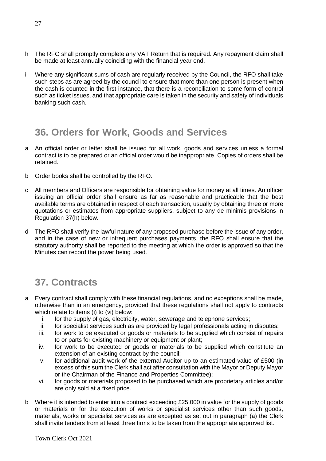- h The RFO shall promptly complete any VAT Return that is required. Any repayment claim shall be made at least annually coinciding with the financial year end.
- i Where any significant sums of cash are regularly received by the Council, the RFO shall take such steps as are agreed by the council to ensure that more than one person is present when the cash is counted in the first instance, that there is a reconciliation to some form of control such as ticket issues, and that appropriate care is taken in the security and safety of individuals banking such cash.

# **36. Orders for Work, Goods and Services**

- a An official order or letter shall be issued for all work, goods and services unless a formal contract is to be prepared or an official order would be inappropriate. Copies of orders shall be retained.
- b Order books shall be controlled by the RFO.
- c All members and Officers are responsible for obtaining value for money at all times. An officer issuing an official order shall ensure as far as reasonable and practicable that the best available terms are obtained in respect of each transaction, usually by obtaining three or more quotations or estimates from appropriate suppliers, subject to any de minimis provisions in Regulation 37(h) below.
- d The RFO shall verify the lawful nature of any proposed purchase before the issue of any order, and in the case of new or infrequent purchases payments, the RFO shall ensure that the statutory authority shall be reported to the meeting at which the order is approved so that the Minutes can record the power being used.

# **37. Contracts**

- a Every contract shall comply with these financial regulations, and no exceptions shall be made, otherwise than in an emergency, provided that these regulations shall not apply to contracts which relate to items (i) to (vi) below:
	- i. for the supply of gas, electricity, water, sewerage and telephone services;
	- ii. for specialist services such as are provided by legal professionals acting in disputes;
	- iii. for work to be executed or goods or materials to be supplied which consist of repairs to or parts for existing machinery or equipment or plant;
	- iv. for work to be executed or goods or materials to be supplied which constitute an extension of an existing contract by the council;
	- v. for additional audit work of the external Auditor up to an estimated value of £500 (in excess of this sum the Clerk shall act after consultation with the Mayor or Deputy Mayor or the Chairman of the Finance and Properties Committee);
	- vi. for goods or materials proposed to be purchased which are proprietary articles and/or are only sold at a fixed price.
- b Where it is intended to enter into a contract exceeding  $£25,000$  in value for the supply of goods or materials or for the execution of works or specialist services other than such goods, materials, works or specialist services as are excepted as set out in paragraph (a) the Clerk shall invite tenders from at least three firms to be taken from the appropriate approved list.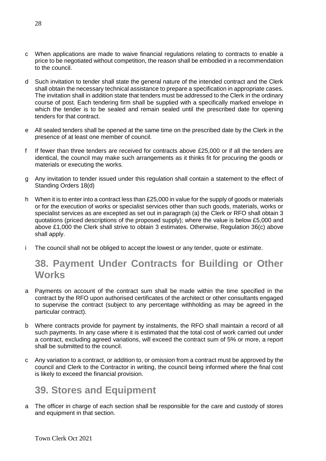- c When applications are made to waive financial regulations relating to contracts to enable a price to be negotiated without competition, the reason shall be embodied in a recommendation to the council.
- d Such invitation to tender shall state the general nature of the intended contract and the Clerk shall obtain the necessary technical assistance to prepare a specification in appropriate cases. The invitation shall in addition state that tenders must be addressed to the Clerk in the ordinary course of post. Each tendering firm shall be supplied with a specifically marked envelope in which the tender is to be sealed and remain sealed until the prescribed date for opening tenders for that contract.
- e All sealed tenders shall be opened at the same time on the prescribed date by the Clerk in the presence of at least one member of council.
- f If fewer than three tenders are received for contracts above £25,000 or if all the tenders are identical, the council may make such arrangements as it thinks fit for procuring the goods or materials or executing the works.
- g Any invitation to tender issued under this regulation shall contain a statement to the effect of Standing Orders 18(d)
- h When it is to enter into a contract less than £25,000 in value for the supply of goods or materials or for the execution of works or specialist services other than such goods, materials, works or specialist services as are excepted as set out in paragraph (a) the Clerk or RFO shall obtain 3 quotations (priced descriptions of the proposed supply); where the value is below £5,000 and above £1,000 the Clerk shall strive to obtain 3 estimates. Otherwise, Regulation 36(c) above shall apply.
- i The council shall not be obliged to accept the lowest or any tender, quote or estimate.

# **38. Payment Under Contracts for Building or Other Works**

- a Payments on account of the contract sum shall be made within the time specified in the contract by the RFO upon authorised certificates of the architect or other consultants engaged to supervise the contract (subject to any percentage withholding as may be agreed in the particular contract).
- b Where contracts provide for payment by instalments, the RFO shall maintain a record of all such payments. In any case where it is estimated that the total cost of work carried out under a contract, excluding agreed variations, will exceed the contract sum of 5% or more, a report shall be submitted to the council.
- c Any variation to a contract, or addition to, or omission from a contract must be approved by the council and Clerk to the Contractor in writing, the council being informed where the final cost is likely to exceed the financial provision.

# **39. Stores and Equipment**

a The officer in charge of each section shall be responsible for the care and custody of stores and equipment in that section.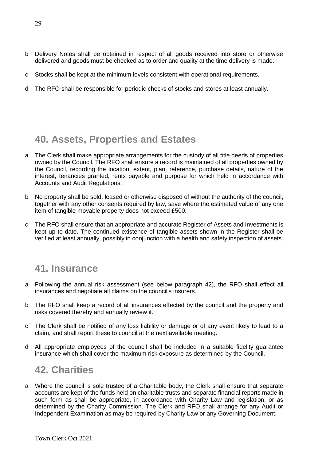- b Delivery Notes shall be obtained in respect of all goods received into store or otherwise delivered and goods must be checked as to order and quality at the time delivery is made.
- c Stocks shall be kept at the minimum levels consistent with operational requirements.
- d The RFO shall be responsible for periodic checks of stocks and stores at least annually.

# **40. Assets, Properties and Estates**

- a The Clerk shall make appropriate arrangements for the custody of all title deeds of properties owned by the Council. The RFO shall ensure a record is maintained of all properties owned by the Council, recording the location, extent, plan, reference, purchase details, nature of the interest, tenancies granted, rents payable and purpose for which held in accordance with Accounts and Audit Regulations.
- b No property shall be sold, leased or otherwise disposed of without the authority of the council, together with any other consents required by law, save where the estimated value of any one item of tangible movable property does not exceed £500.
- c The RFO shall ensure that an appropriate and accurate Register of Assets and Investments is kept up to date. The continued existence of tangible assets shown in the Register shall be verified at least annually, possibly in conjunction with a health and safety inspection of assets.

#### **41. Insurance**

- a Following the annual risk assessment (see below paragraph 42), the RFO shall effect all insurances and negotiate all claims on the council's insurers.
- b The RFO shall keep a record of all insurances effected by the council and the property and risks covered thereby and annually review it.
- c The Clerk shall be notified of any loss liability or damage or of any event likely to lead to a claim, and shall report these to council at the next available meeting.
- d All appropriate employees of the council shall be included in a suitable fidelity guarantee insurance which shall cover the maximum risk exposure as determined by the Council.

#### **42. Charities**

a Where the council is sole trustee of a Charitable body, the Clerk shall ensure that separate accounts are kept of the funds held on charitable trusts and separate financial reports made in such form as shall be appropriate, in accordance with Charity Law and legislation, or as determined by the Charity Commission. The Clerk and RFO shall arrange for any Audit or Independent Examination as may be required by Charity Law or any Governing Document.